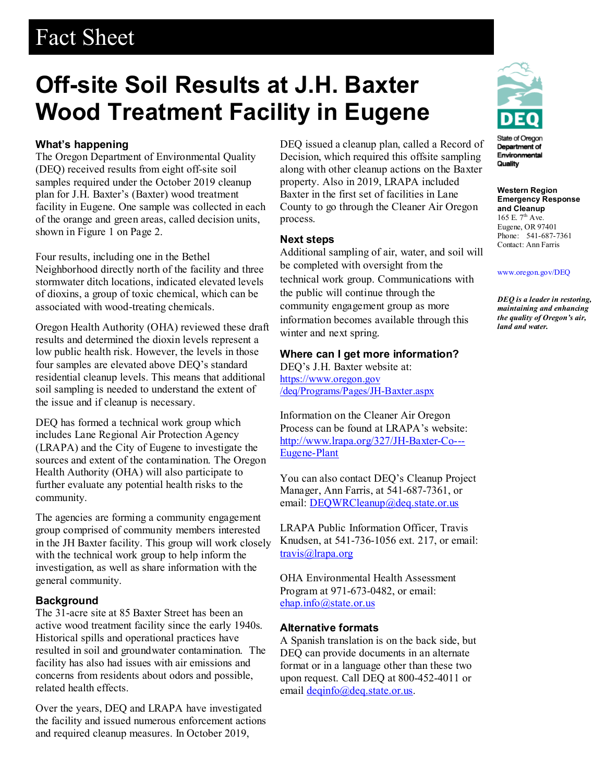## Fact Sheet

# **Off-site Soil Results at J.H. Baxter Wood Treatment Facility in Eugene**

### **What's happening**

The Oregon Department of Environmental Quality (DEQ) received results from eight off-site soil samples required under the October 2019 cleanup plan for J.H. Baxter's (Baxter) wood treatment facility in Eugene. One sample was collected in each of the orange and green areas, called decision units, shown in Figure 1 on Page 2.

Four results, including one in the Bethel Neighborhood directly north of the facility and three stormwater ditch locations, indicated elevated levels of dioxins, a group of toxic chemical, which can be associated with wood-treating chemicals.

Oregon Health Authority (OHA) reviewed these draft results and determined the dioxin levels represent a low public health risk. However, the levels in those four samples are elevated above DEQ's standard residential cleanup levels. This means that additional soil sampling is needed to understand the extent of the issue and if cleanup is necessary.

DEQ has formed a technical work group which includes Lane Regional Air Protection Agency (LRAPA) and the City of Eugene to investigate the sources and extent of the contamination. The Oregon Health Authority (OHA) will also participate to further evaluate any potential health risks to the community.

The agencies are forming a community engagement group comprised of community members interested in the JH Baxter facility. This group will work closely with the technical work group to help inform the investigation, as well as share information with the general community.

#### **Background**

The 31-acre site at 85 Baxter Street has been an active wood treatment facility since the early 1940s. Historical spills and operational practices have resulted in soil and groundwater contamination. The facility has also had issues with air emissions and concerns from residents about odors and possible, related health effects.

Over the years, DEQ and LRAPA have investigated the facility and issued numerous enforcement actions and required cleanup measures. In October 2019,

DEQ issued a cleanup plan, called a Record of Decision, which required this offsite sampling along with other cleanup actions on the Baxter property. Also in 2019, LRAPA included Baxter in the first set of facilities in Lane County to go through the Cleaner Air Oregon process.

#### **Next steps**

Additional sampling of air, water, and soil will be completed with oversight from the technical work group. Communications with the public will continue through the community engagement group as more information becomes available through this winter and next spring.

#### **Where can I get more information?**

DEQ's J.H. Baxter website at: https://www.oregon.gov /deq/Programs/Pages/JH-Baxter.aspx

Information on the Cleaner Air Oregon Process can be found at LRAPA's website: [http://www.lrapa.org/327/JH-Baxter-Co---](http://www.lrapa.org/327/JH-Baxter-Co---Eugene-Plant) [Eugene-Plant](http://www.lrapa.org/327/JH-Baxter-Co---Eugene-Plant)

You can also contact DEQ's Cleanup Project Manager, Ann Farris, at 541-687-7361, or email: [DEQWRCleanup@deq.state.or.us](mailto:DEQWRCleanup@deq.state.or.us)

LRAPA Public Information Officer, Travis Knudsen, at 541-736-1056 ext. 217, or email: travis@Irapa.org

OHA Environmental Health Assessment Program at 971-673-0482, or email: [ehap.info@state.or.us](mailto:ehap.info@state.or.us)

#### **Alternative formats**

A Spanish translation is on the back side, but DEQ can provide documents in an alternate format or in a language other than these two upon request. Call DEQ at 800-452-4011 or email [deqinfo@deq.state.or.us.](mailto:deqinfo@deq.state.or.us)



Department of Environmental Quality

**Western Region Emergency Response and Cleanup** 165 E. 7<sup>th</sup> Ave. Eugene, OR 97401 Phone: 541-687-7361 Contact: Ann Farris

#### [www.oregon.gov/DEQ](file://deq001/templates/General/www.oregon.gov/DEQ)

*DEQ is a leader in restoring, maintaining and enhancing the quality of Oregon's air, land and water.*